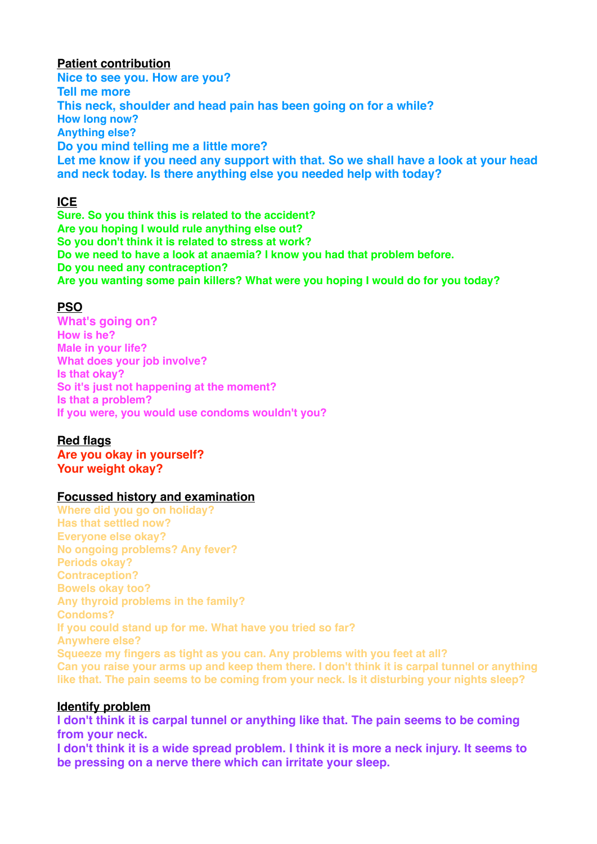# **Patient contribution**

**Nice to see you. How are you? Tell me more This neck, shoulder and head pain has been going on for a while? How long now? Anything else? Do you mind telling me a little more? Let me know if you need any support with that. So we shall have a look at your head and neck today. Is there anything else you needed help with today?**

# **ICE**

**Sure. So you think this is related to the accident? Are you hoping I would rule anything else out? So you don't think it is related to stress at work? Do we need to have a look at anaemia? I know you had that problem before. Do you need any contraception? Are you wanting some pain killers? What were you hoping I would do for you today?**

# **PSO**

**What's going on? How is he? Male in your life? What does your job involve? Is that okay? So it's just not happening at the moment? Is that a problem? If you were, you would use condoms wouldn't you?**

## **Red flags**

**Are you okay in yourself? Your weight okay?**

## **Focussed history and examination**

**Where did you go on holiday? Has that settled now? Everyone else okay? No ongoing problems? Any fever? Periods okay? Contraception? Bowels okay too? Any thyroid problems in the family? Condoms? If you could stand up for me. What have you tried so far? Anywhere else? Squeeze my fingers as tight as you can. Any problems with you feet at all? Can you raise your arms up and keep them there. I don't think it is carpal tunnel or anything like that. The pain seems to be coming from your neck. Is it disturbing your nights sleep?**

## **Identify problem**

**I don't think it is carpal tunnel or anything like that. The pain seems to be coming from your neck.**

**I don't think it is a wide spread problem. I think it is more a neck injury. It seems to be pressing on a nerve there which can irritate your sleep.**